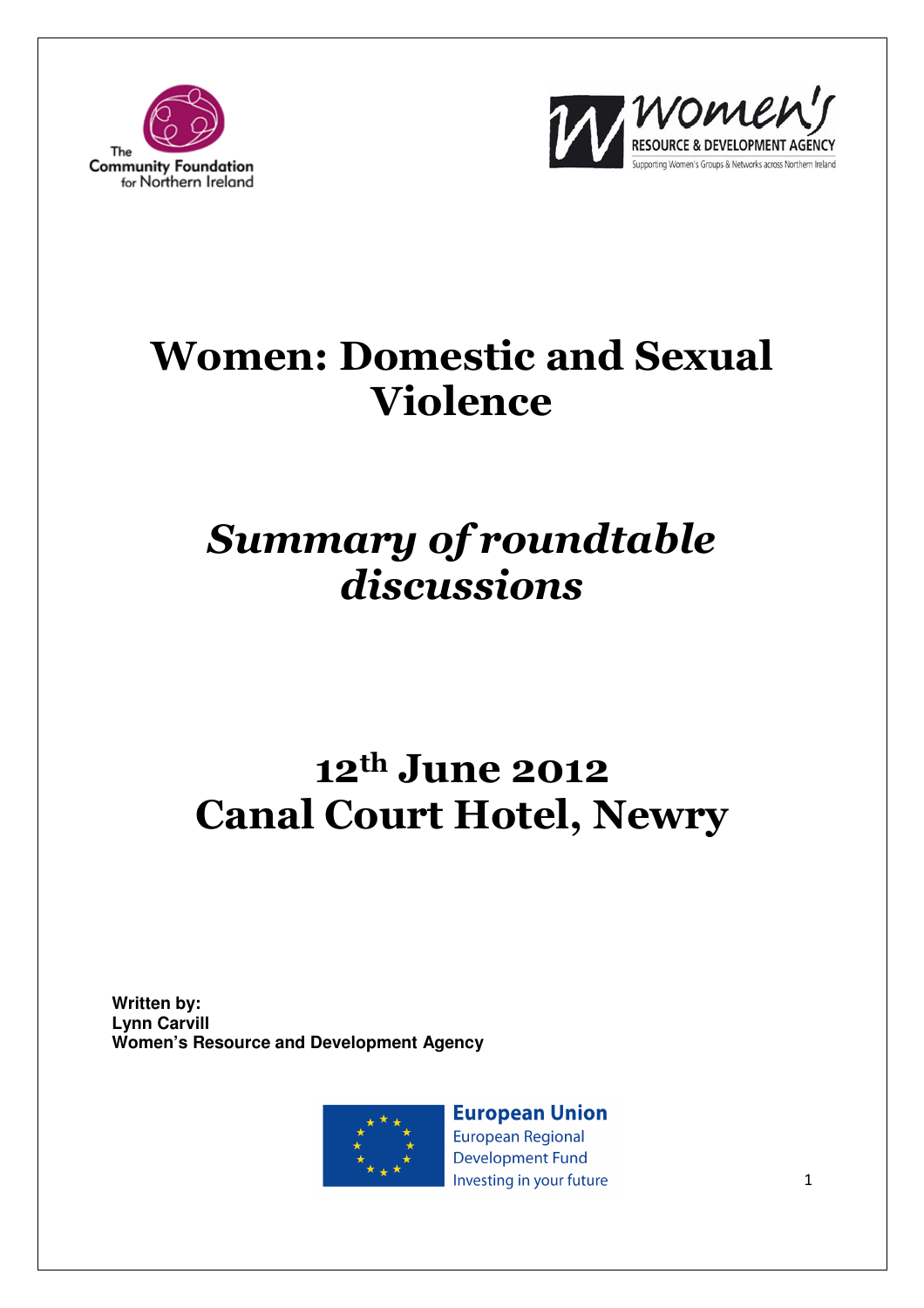



# Women: Domestic and Sexual Violence

# Summary of roundtable discussions

# 12th June 2012 Canal Court Hotel, Newry

**Written by: Lynn Carvill Women's Resource and Development Agency**



**European Union European Regional Development Fund** Investing in your future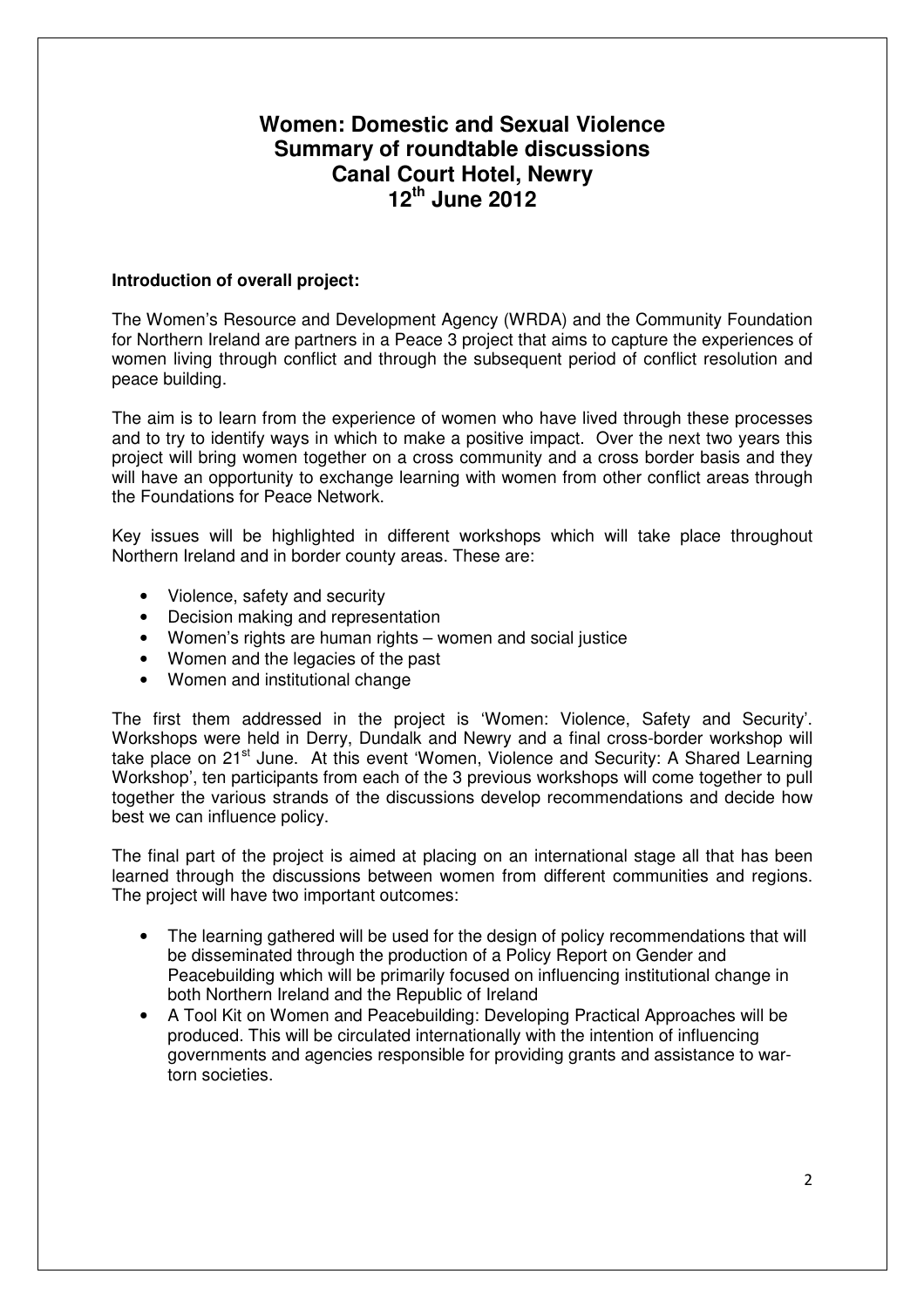# **Women: Domestic and Sexual Violence Summary of roundtable discussions Canal Court Hotel, Newry 12th June 2012**

# **Introduction of overall project:**

The Women's Resource and Development Agency (WRDA) and the Community Foundation for Northern Ireland are partners in a Peace 3 project that aims to capture the experiences of women living through conflict and through the subsequent period of conflict resolution and peace building.

The aim is to learn from the experience of women who have lived through these processes and to try to identify ways in which to make a positive impact. Over the next two years this project will bring women together on a cross community and a cross border basis and they will have an opportunity to exchange learning with women from other conflict areas through the Foundations for Peace Network.

Key issues will be highlighted in different workshops which will take place throughout Northern Ireland and in border county areas. These are:

- Violence, safety and security
- Decision making and representation
- Women's rights are human rights women and social justice
- Women and the legacies of the past
- Women and institutional change

The first them addressed in the project is 'Women: Violence, Safety and Security'. Workshops were held in Derry, Dundalk and Newry and a final cross-border workshop will take place on 21<sup>st</sup> June. At this event 'Women, Violence and Security: A Shared Learning Workshop', ten participants from each of the 3 previous workshops will come together to pull together the various strands of the discussions develop recommendations and decide how best we can influence policy.

The final part of the project is aimed at placing on an international stage all that has been learned through the discussions between women from different communities and regions. The project will have two important outcomes:

- The learning gathered will be used for the design of policy recommendations that will be disseminated through the production of a Policy Report on Gender and Peacebuilding which will be primarily focused on influencing institutional change in both Northern Ireland and the Republic of Ireland
- A Tool Kit on Women and Peacebuilding: Developing Practical Approaches will be produced. This will be circulated internationally with the intention of influencing governments and agencies responsible for providing grants and assistance to wartorn societies.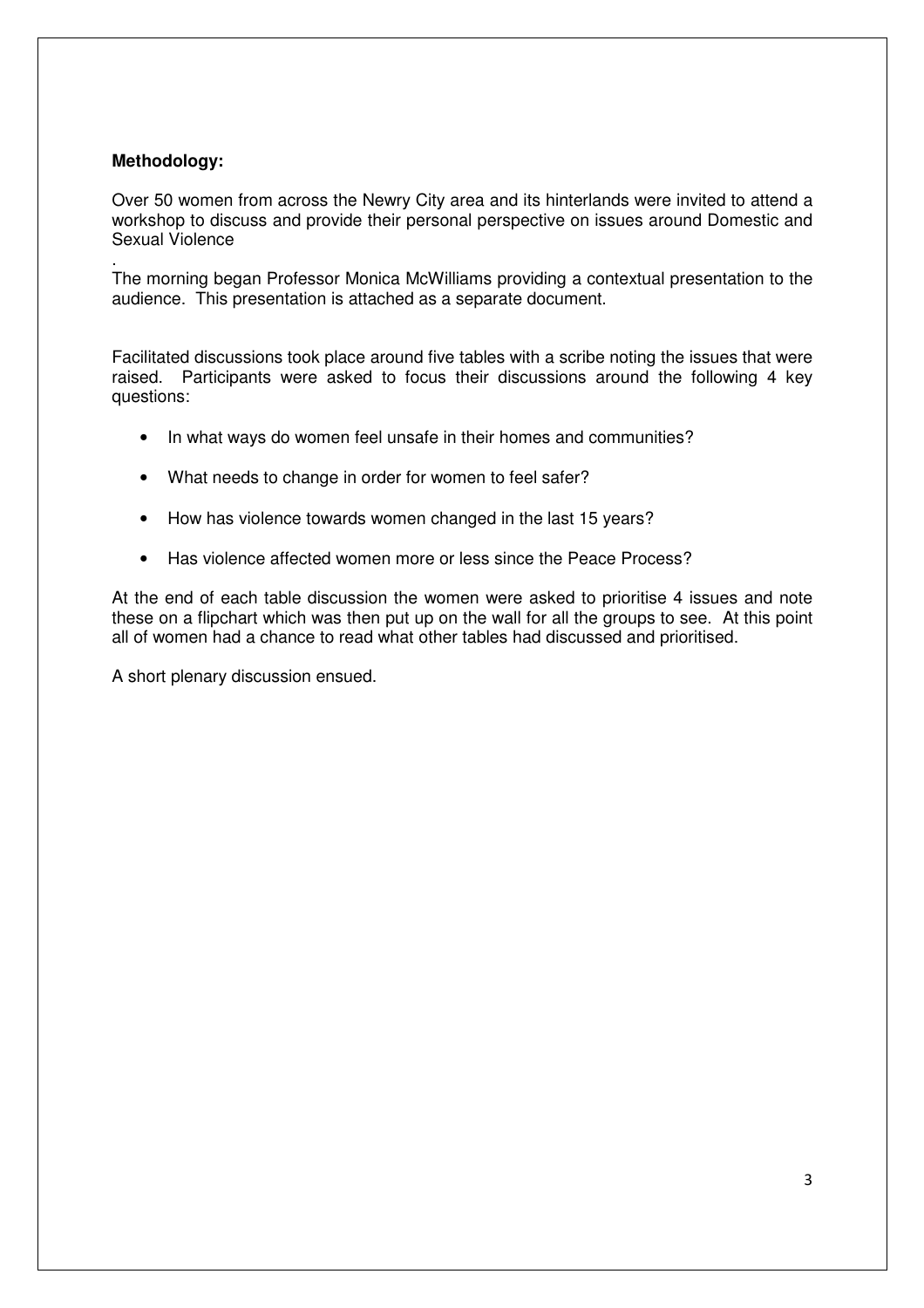# **Methodology:**

Over 50 women from across the Newry City area and its hinterlands were invited to attend a workshop to discuss and provide their personal perspective on issues around Domestic and Sexual Violence

. The morning began Professor Monica McWilliams providing a contextual presentation to the audience. This presentation is attached as a separate document.

Facilitated discussions took place around five tables with a scribe noting the issues that were raised. Participants were asked to focus their discussions around the following 4 key questions:

- In what ways do women feel unsafe in their homes and communities?
- What needs to change in order for women to feel safer?
- How has violence towards women changed in the last 15 years?
- Has violence affected women more or less since the Peace Process?

At the end of each table discussion the women were asked to prioritise 4 issues and note these on a flipchart which was then put up on the wall for all the groups to see. At this point all of women had a chance to read what other tables had discussed and prioritised.

A short plenary discussion ensued.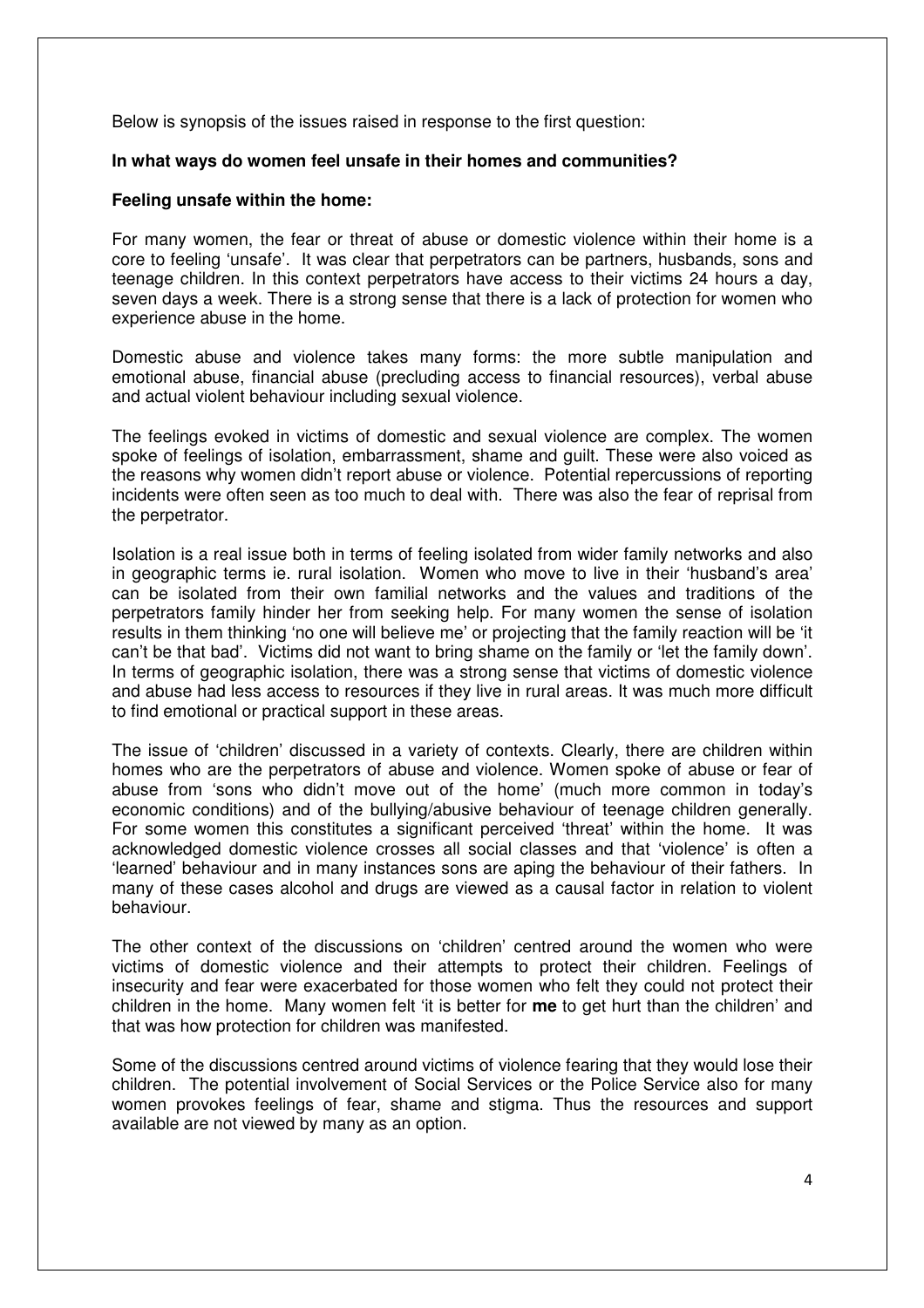Below is synopsis of the issues raised in response to the first question:

#### **In what ways do women feel unsafe in their homes and communities?**

#### **Feeling unsafe within the home:**

For many women, the fear or threat of abuse or domestic violence within their home is a core to feeling 'unsafe'. It was clear that perpetrators can be partners, husbands, sons and teenage children. In this context perpetrators have access to their victims 24 hours a day, seven days a week. There is a strong sense that there is a lack of protection for women who experience abuse in the home.

Domestic abuse and violence takes many forms: the more subtle manipulation and emotional abuse, financial abuse (precluding access to financial resources), verbal abuse and actual violent behaviour including sexual violence.

The feelings evoked in victims of domestic and sexual violence are complex. The women spoke of feelings of isolation, embarrassment, shame and guilt. These were also voiced as the reasons why women didn't report abuse or violence. Potential repercussions of reporting incidents were often seen as too much to deal with. There was also the fear of reprisal from the perpetrator.

Isolation is a real issue both in terms of feeling isolated from wider family networks and also in geographic terms ie. rural isolation. Women who move to live in their 'husband's area' can be isolated from their own familial networks and the values and traditions of the perpetrators family hinder her from seeking help. For many women the sense of isolation results in them thinking 'no one will believe me' or projecting that the family reaction will be 'it can't be that bad'. Victims did not want to bring shame on the family or 'let the family down'. In terms of geographic isolation, there was a strong sense that victims of domestic violence and abuse had less access to resources if they live in rural areas. It was much more difficult to find emotional or practical support in these areas.

The issue of 'children' discussed in a variety of contexts. Clearly, there are children within homes who are the perpetrators of abuse and violence. Women spoke of abuse or fear of abuse from 'sons who didn't move out of the home' (much more common in today's economic conditions) and of the bullying/abusive behaviour of teenage children generally. For some women this constitutes a significant perceived 'threat' within the home. It was acknowledged domestic violence crosses all social classes and that 'violence' is often a 'learned' behaviour and in many instances sons are aping the behaviour of their fathers. In many of these cases alcohol and drugs are viewed as a causal factor in relation to violent behaviour.

The other context of the discussions on 'children' centred around the women who were victims of domestic violence and their attempts to protect their children. Feelings of insecurity and fear were exacerbated for those women who felt they could not protect their children in the home. Many women felt 'it is better for **me** to get hurt than the children' and that was how protection for children was manifested.

Some of the discussions centred around victims of violence fearing that they would lose their children. The potential involvement of Social Services or the Police Service also for many women provokes feelings of fear, shame and stigma. Thus the resources and support available are not viewed by many as an option.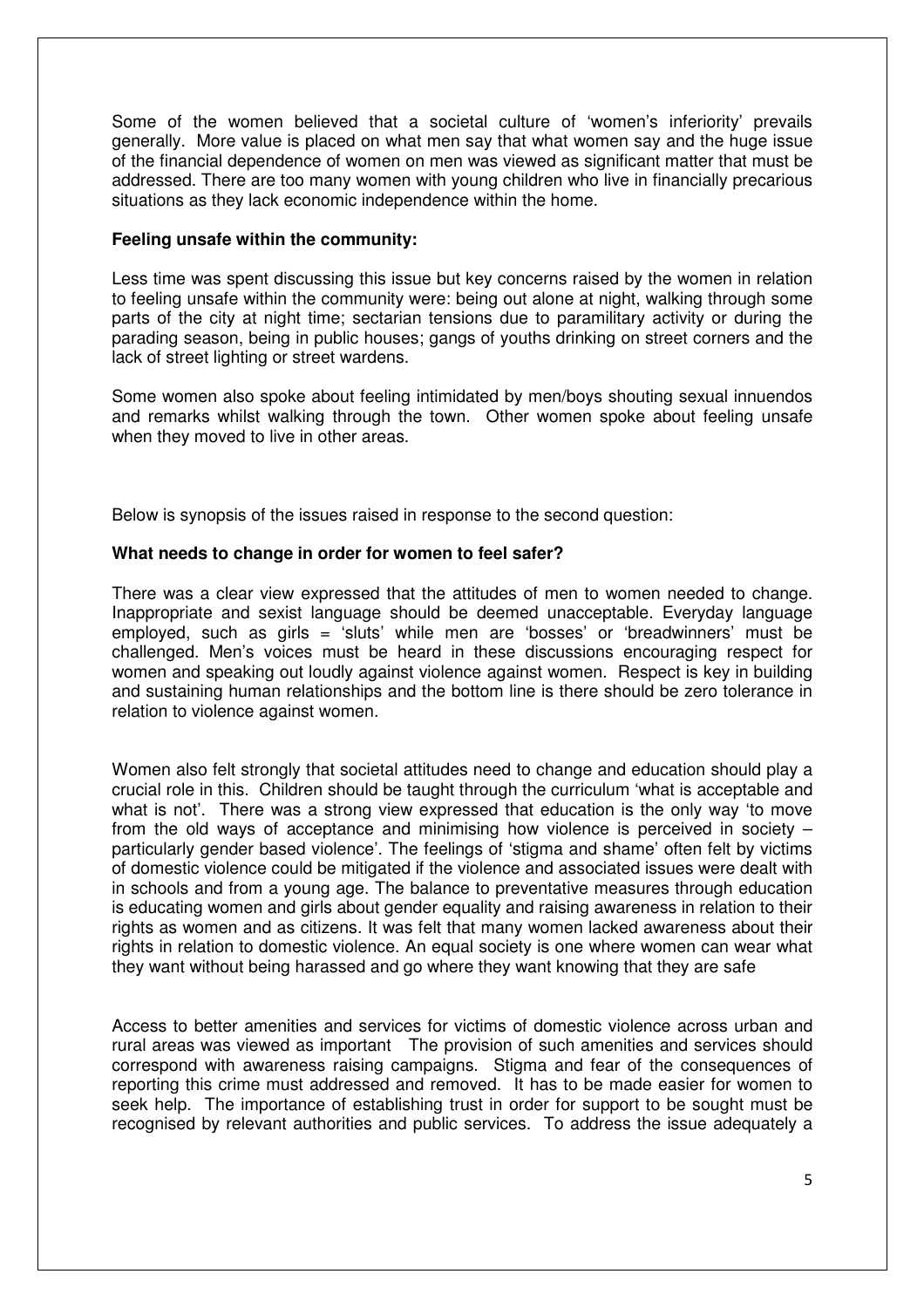Some of the women believed that a societal culture of 'women's inferiority' prevails generally. More value is placed on what men say that what women say and the huge issue of the financial dependence of women on men was viewed as significant matter that must be addressed. There are too many women with young children who live in financially precarious situations as they lack economic independence within the home.

### **Feeling unsafe within the community:**

Less time was spent discussing this issue but key concerns raised by the women in relation to feeling unsafe within the community were: being out alone at night, walking through some parts of the city at night time; sectarian tensions due to paramilitary activity or during the parading season, being in public houses; gangs of youths drinking on street corners and the lack of street lighting or street wardens.

Some women also spoke about feeling intimidated by men/boys shouting sexual innuendos and remarks whilst walking through the town. Other women spoke about feeling unsafe when they moved to live in other areas.

Below is synopsis of the issues raised in response to the second question:

### **What needs to change in order for women to feel safer?**

There was a clear view expressed that the attitudes of men to women needed to change. Inappropriate and sexist language should be deemed unacceptable. Everyday language employed, such as girls = 'sluts' while men are 'bosses' or 'breadwinners' must be challenged. Men's voices must be heard in these discussions encouraging respect for women and speaking out loudly against violence against women. Respect is key in building and sustaining human relationships and the bottom line is there should be zero tolerance in relation to violence against women.

Women also felt strongly that societal attitudes need to change and education should play a crucial role in this. Children should be taught through the curriculum 'what is acceptable and what is not'. There was a strong view expressed that education is the only way 'to move from the old ways of acceptance and minimising how violence is perceived in society – particularly gender based violence'. The feelings of 'stigma and shame' often felt by victims of domestic violence could be mitigated if the violence and associated issues were dealt with in schools and from a young age. The balance to preventative measures through education is educating women and girls about gender equality and raising awareness in relation to their rights as women and as citizens. It was felt that many women lacked awareness about their rights in relation to domestic violence. An equal society is one where women can wear what they want without being harassed and go where they want knowing that they are safe

Access to better amenities and services for victims of domestic violence across urban and rural areas was viewed as important The provision of such amenities and services should correspond with awareness raising campaigns. Stigma and fear of the consequences of reporting this crime must addressed and removed. It has to be made easier for women to seek help. The importance of establishing trust in order for support to be sought must be recognised by relevant authorities and public services. To address the issue adequately a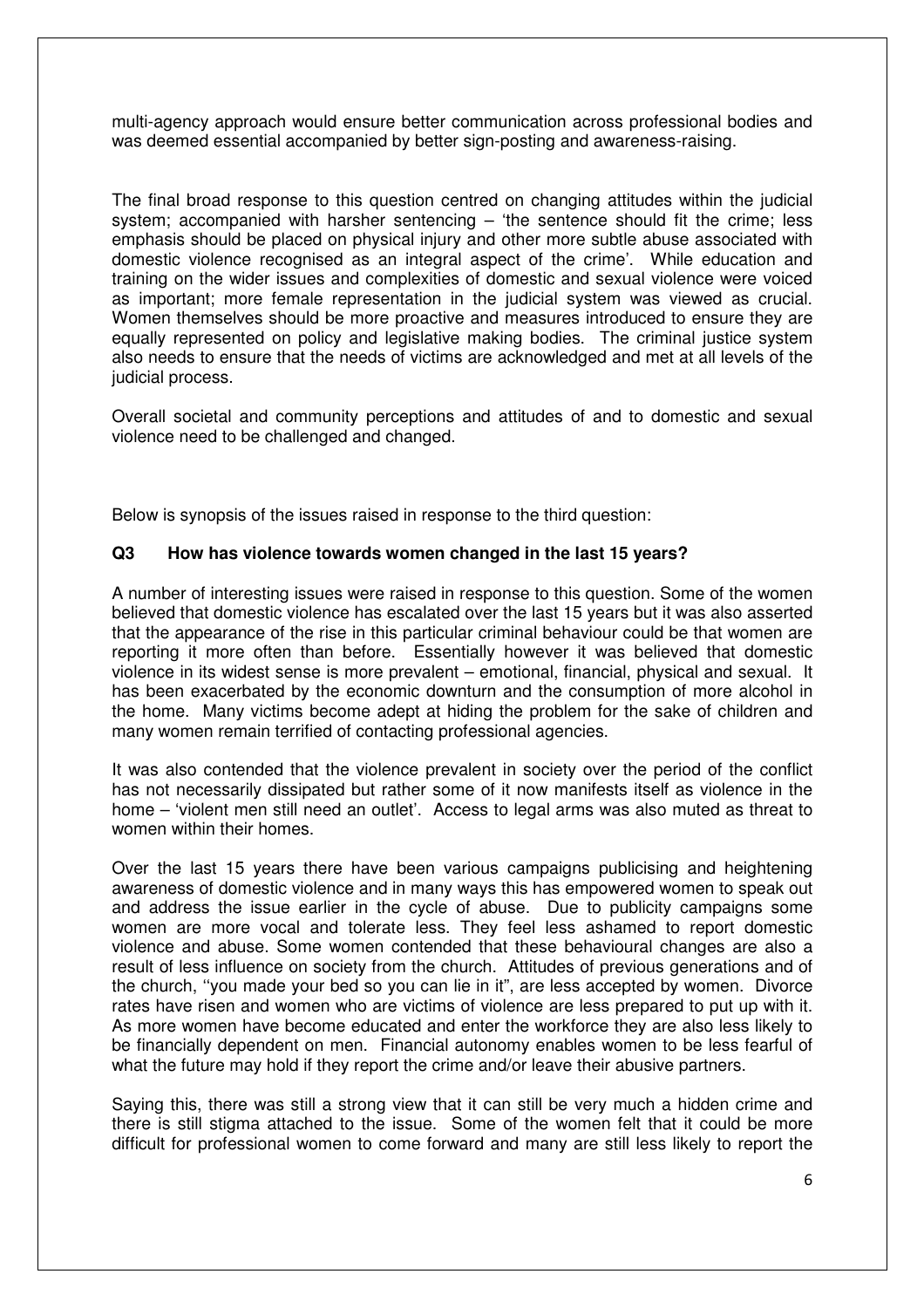multi-agency approach would ensure better communication across professional bodies and was deemed essential accompanied by better sign-posting and awareness-raising.

The final broad response to this question centred on changing attitudes within the judicial system; accompanied with harsher sentencing – 'the sentence should fit the crime; less emphasis should be placed on physical injury and other more subtle abuse associated with domestic violence recognised as an integral aspect of the crime'. While education and training on the wider issues and complexities of domestic and sexual violence were voiced as important; more female representation in the judicial system was viewed as crucial. Women themselves should be more proactive and measures introduced to ensure they are equally represented on policy and legislative making bodies. The criminal justice system also needs to ensure that the needs of victims are acknowledged and met at all levels of the judicial process.

Overall societal and community perceptions and attitudes of and to domestic and sexual violence need to be challenged and changed.

Below is synopsis of the issues raised in response to the third question:

### **Q3 How has violence towards women changed in the last 15 years?**

A number of interesting issues were raised in response to this question. Some of the women believed that domestic violence has escalated over the last 15 years but it was also asserted that the appearance of the rise in this particular criminal behaviour could be that women are reporting it more often than before. Essentially however it was believed that domestic violence in its widest sense is more prevalent – emotional, financial, physical and sexual. It has been exacerbated by the economic downturn and the consumption of more alcohol in the home. Many victims become adept at hiding the problem for the sake of children and many women remain terrified of contacting professional agencies.

It was also contended that the violence prevalent in society over the period of the conflict has not necessarily dissipated but rather some of it now manifests itself as violence in the home – 'violent men still need an outlet'. Access to legal arms was also muted as threat to women within their homes.

Over the last 15 years there have been various campaigns publicising and heightening awareness of domestic violence and in many ways this has empowered women to speak out and address the issue earlier in the cycle of abuse. Due to publicity campaigns some women are more vocal and tolerate less. They feel less ashamed to report domestic violence and abuse. Some women contended that these behavioural changes are also a result of less influence on society from the church. Attitudes of previous generations and of the church, ''you made your bed so you can lie in it", are less accepted by women. Divorce rates have risen and women who are victims of violence are less prepared to put up with it. As more women have become educated and enter the workforce they are also less likely to be financially dependent on men. Financial autonomy enables women to be less fearful of what the future may hold if they report the crime and/or leave their abusive partners.

Saying this, there was still a strong view that it can still be very much a hidden crime and there is still stigma attached to the issue. Some of the women felt that it could be more difficult for professional women to come forward and many are still less likely to report the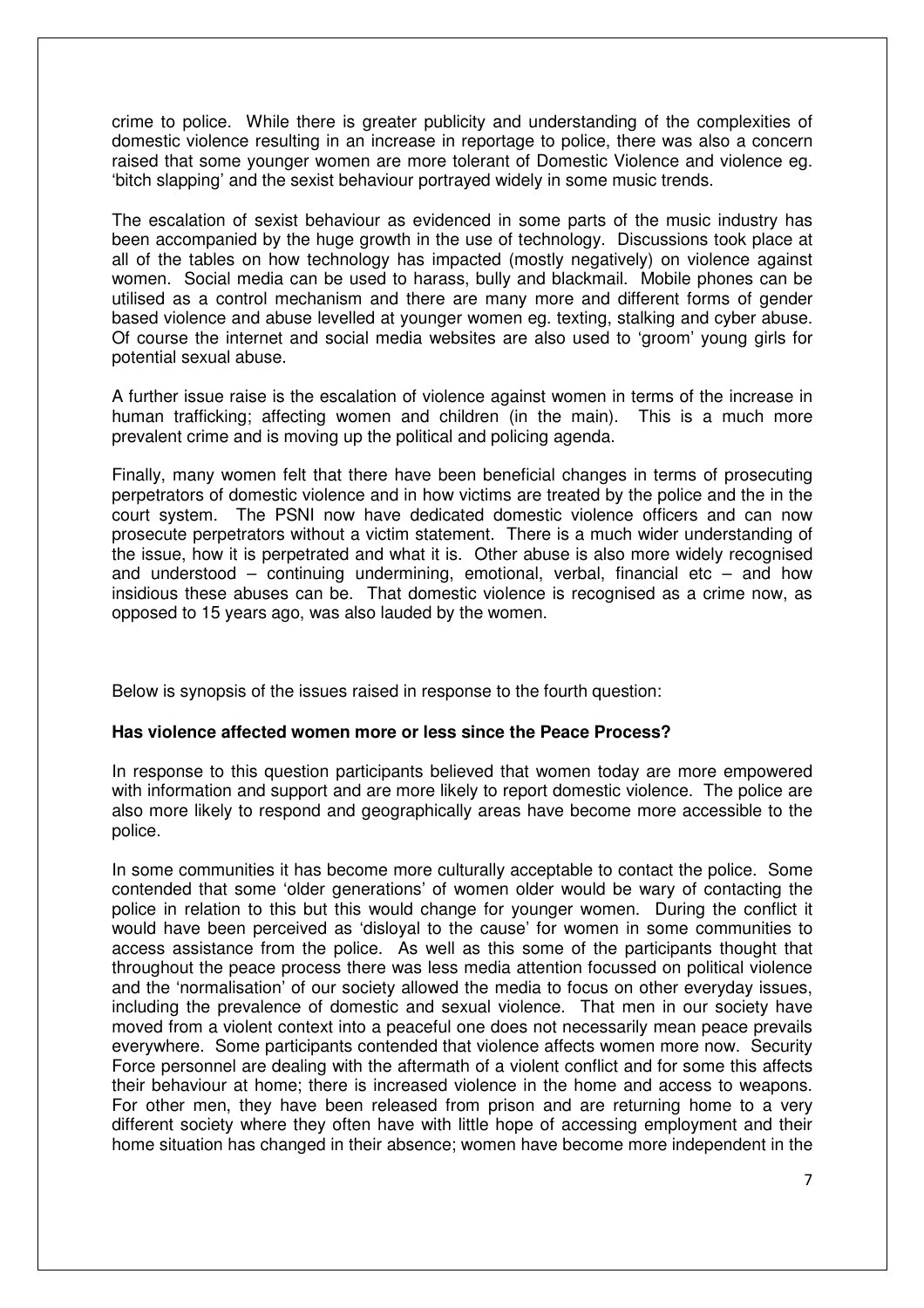crime to police. While there is greater publicity and understanding of the complexities of domestic violence resulting in an increase in reportage to police, there was also a concern raised that some younger women are more tolerant of Domestic Violence and violence eg. 'bitch slapping' and the sexist behaviour portrayed widely in some music trends.

The escalation of sexist behaviour as evidenced in some parts of the music industry has been accompanied by the huge growth in the use of technology. Discussions took place at all of the tables on how technology has impacted (mostly negatively) on violence against women. Social media can be used to harass, bully and blackmail. Mobile phones can be utilised as a control mechanism and there are many more and different forms of gender based violence and abuse levelled at younger women eg. texting, stalking and cyber abuse. Of course the internet and social media websites are also used to 'groom' young girls for potential sexual abuse.

A further issue raise is the escalation of violence against women in terms of the increase in human trafficking; affecting women and children (in the main). This is a much more prevalent crime and is moving up the political and policing agenda.

Finally, many women felt that there have been beneficial changes in terms of prosecuting perpetrators of domestic violence and in how victims are treated by the police and the in the court system. The PSNI now have dedicated domestic violence officers and can now prosecute perpetrators without a victim statement. There is a much wider understanding of the issue, how it is perpetrated and what it is. Other abuse is also more widely recognised and understood – continuing undermining, emotional, verbal, financial etc – and how insidious these abuses can be. That domestic violence is recognised as a crime now, as opposed to 15 years ago, was also lauded by the women.

Below is synopsis of the issues raised in response to the fourth question:

# **Has violence affected women more or less since the Peace Process?**

In response to this question participants believed that women today are more empowered with information and support and are more likely to report domestic violence. The police are also more likely to respond and geographically areas have become more accessible to the police.

In some communities it has become more culturally acceptable to contact the police. Some contended that some 'older generations' of women older would be wary of contacting the police in relation to this but this would change for younger women. During the conflict it would have been perceived as 'disloyal to the cause' for women in some communities to access assistance from the police. As well as this some of the participants thought that throughout the peace process there was less media attention focussed on political violence and the 'normalisation' of our society allowed the media to focus on other everyday issues, including the prevalence of domestic and sexual violence. That men in our society have moved from a violent context into a peaceful one does not necessarily mean peace prevails everywhere. Some participants contended that violence affects women more now. Security Force personnel are dealing with the aftermath of a violent conflict and for some this affects their behaviour at home; there is increased violence in the home and access to weapons. For other men, they have been released from prison and are returning home to a very different society where they often have with little hope of accessing employment and their home situation has changed in their absence; women have become more independent in the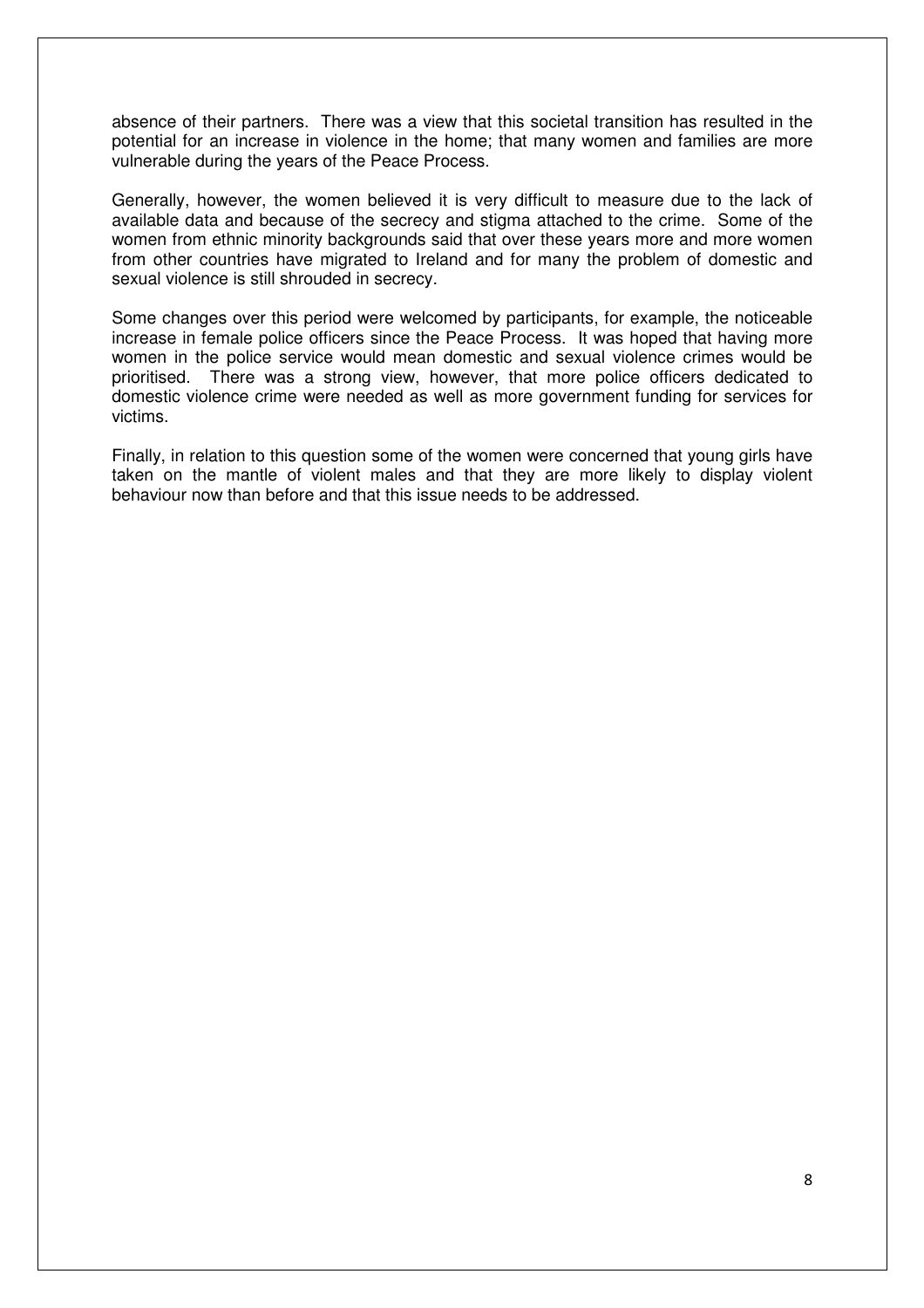absence of their partners. There was a view that this societal transition has resulted in the potential for an increase in violence in the home; that many women and families are more vulnerable during the years of the Peace Process.

Generally, however, the women believed it is very difficult to measure due to the lack of available data and because of the secrecy and stigma attached to the crime. Some of the women from ethnic minority backgrounds said that over these years more and more women from other countries have migrated to Ireland and for many the problem of domestic and sexual violence is still shrouded in secrecy.

Some changes over this period were welcomed by participants, for example, the noticeable increase in female police officers since the Peace Process. It was hoped that having more women in the police service would mean domestic and sexual violence crimes would be prioritised. There was a strong view, however, that more police officers dedicated to domestic violence crime were needed as well as more government funding for services for victims.

Finally, in relation to this question some of the women were concerned that young girls have taken on the mantle of violent males and that they are more likely to display violent behaviour now than before and that this issue needs to be addressed.